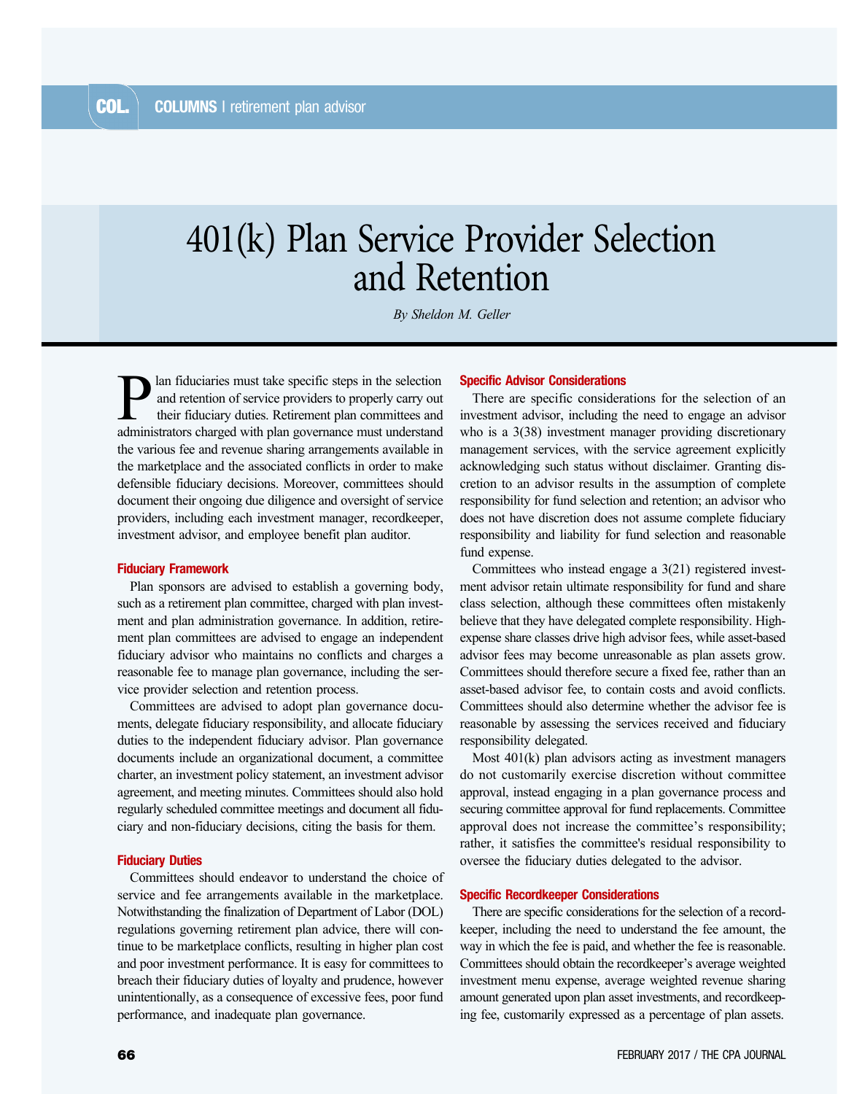# 401(k) Plan Service Provider Selection and Retention

*By Sheldon M. Geller*

lan fiduciaries must take specific steps in the selection and retention of service providers to properly carry out their fiduciary duties. Retirement plan committees and administrators charged with plan governance must understand the various fee and revenue sharing arrangements available in the marketplace and the associated conflicts in order to make defensible fiduciary decisions. Moreover, committees should document their ongoing due diligence and oversight of service providers, including each investment manager, recordkeeper, investment advisor, and employee benefit plan auditor.

## Fiduciary Framework

Plan sponsors are advised to establish a governing body, such as a retirement plan committee, charged with plan investment and plan administration governance. In addition, retirement plan committees are advised to engage an independent fiduciary advisor who maintains no conflicts and charges a reasonable fee to manage plan governance, including the service provider selection and retention process.

Committees are advised to adopt plan governance documents, delegate fiduciary responsibility, and allocate fiduciary duties to the independent fiduciary advisor. Plan governance documents include an organizational document, a committee charter, an investment policy statement, an investment advisor agreement, and meeting minutes. Committees should also hold regularly scheduled committee meetings and document all fiduciary and non-fiduciary decisions, citing the basis for them.

## Fiduciary Duties

Committees should endeavor to understand the choice of service and fee arrangements available in the marketplace. Notwithstanding the finalization of Department of Labor (DOL) regulations governing retirement plan advice, there will continue to be marketplace conflicts, resulting in higher plan cost and poor investment performance. It is easy for committees to breach their fiduciary duties of loyalty and prudence, however unintentionally, as a consequence of excessive fees, poor fund performance, and inadequate plan governance.

## Specific Advisor Considerations

There are specific considerations for the selection of an investment advisor, including the need to engage an advisor who is a 3(38) investment manager providing discretionary management services, with the service agreement explicitly acknowledging such status without disclaimer. Granting discretion to an advisor results in the assumption of complete responsibility for fund selection and retention; an advisor who does not have discretion does not assume complete fiduciary responsibility and liability for fund selection and reasonable fund expense.

Committees who instead engage a 3(21) registered investment advisor retain ultimate responsibility for fund and share class selection, although these committees often mistakenly believe that they have delegated complete responsibility. Highexpense share classes drive high advisor fees, while asset-based advisor fees may become unreasonable as plan assets grow. Committees should therefore secure a fixed fee, rather than an asset-based advisor fee, to contain costs and avoid conflicts. Committees should also determine whether the advisor fee is reasonable by assessing the services received and fiduciary responsibility delegated.

Most 401(k) plan advisors acting as investment managers do not customarily exercise discretion without committee approval, instead engaging in a plan governance process and securing committee approval for fund replacements. Committee approval does not increase the committee's responsibility; rather, it satisfies the committee's residual responsibility to oversee the fiduciary duties delegated to the advisor.

#### Specific Recordkeeper Considerations

There are specific considerations for the selection of a recordkeeper, including the need to understand the fee amount, the way in which the fee is paid, and whether the fee is reasonable. Committees should obtain the recordkeeper's average weighted investment menu expense, average weighted revenue sharing amount generated upon plan asset investments, and recordkeeping fee, customarily expressed as a percentage of plan assets.